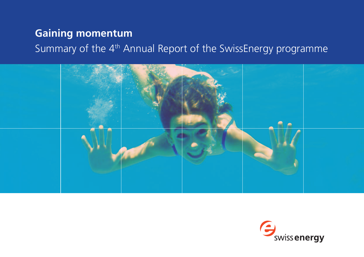# **Gaining momentum**

Summary of the 4th Annual Report of the SwissEnergy programme



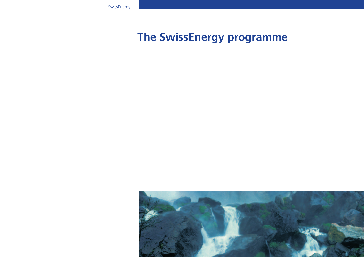# **The SwissEnergy programme**

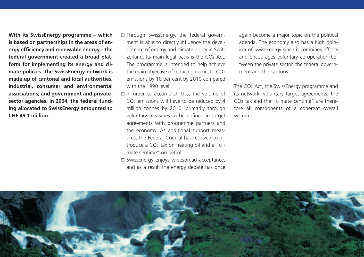**With its SwissEnergy programme – which is based on partnerships in the areas of energy efficiency and renewable energy – the federal government created a broad platform for implementing its energy and climate policies. The SwissEnergy network is made up of cantonal and local authorities, industrial, consumer and environmental associations, and government and privatesector agencies. In 2004, the federal funding allocated to SwissEnergy amounted to CHF 49.1 million.** 

- $\square$  Through SwissEnergy, the federal government is able to directly influence the development of energy and climate policy in Switzerland. Its main legal basis is the CO2 Act. The programme is intended to help achieve the main objective of reducing domestic CO2 emissions by 10 per cent by 2010 compared with the 1990 level.
- $\Box$  In order to accomplish this, the volume of CO2 emissions will have to be reduced by 4 million tonnes by 2010, primarily through voluntary measures to be defined in target agreements with programme partners and the economy. As additional support measures, the Federal Council has resolved to introduce a CO2 tax on heating oil and a "climate centime" on petrol.
- $\square$  SwissEnergy enjoys widespread acceptance, and as a result the energy debate has once

again become a major topic on the political agenda. The economy also has a high opinion of SwissEnergy since it combines efforts and encourages voluntary co-operation between the private sector, the federal government and the cantons.

The CO2 Act, the SwissEnergy programme and its network, voluntary target agreements, the  $CO<sub>2</sub>$  tax and the "climate centime" are therefore all components of a coherent overall system.

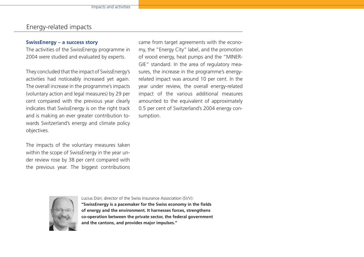## Energy-related impacts

#### **SwissEnergy – a success story**

The activities of the SwissEnergy programme in 2004 were studied and evaluated by experts.

They concluded that the impact of SwissEnergy's activities had noticeably increased yet again. The overall increase in the programme's impacts (voluntary action and legal measures) by 29 per cent compared with the previous year clearly indicates that SwissEnergy is on the right track and is making an ever greater contribution towards Switzerland's energy and climate policy objectives.

The impacts of the voluntary measures taken within the scope of SwissEnergy in the year under review rose by 38 per cent compared with the previous year. The biggest contributions came from target agreements with the economy, the "Energy City" label, and the promotion of wood energy, heat pumps and the "MINER-GIE" standard. In the area of regulatory measures, the increase in the programme's energyrelated impact was around 10 per cent. In the year under review, the overall energy-related impact of the various additional measures amounted to the equivalent of approximately 0.5 per cent of Switzerland's 2004 energy consumption.



Lucius Dürr, director of the Swiss Insurance Association (SVV):

**"SwissEnergy is a pacemaker for the Swiss economy in the fields of energy and the environment. It harnesses forces, strengthens co-operation between the private sector, the federal government and the cantons, and provides major impulses."**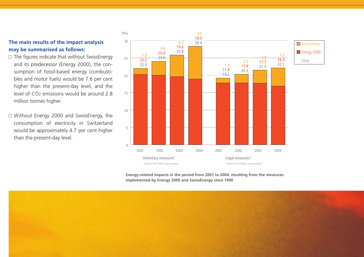#### **The main results of the impact analysis may be summarised as follows:**

- $\square$  The figures indicate that without SwissEnergy and its predecessor (Energy 2000), the consumption of fossil-based energy (combustibles and motor fuels) would be 7.6 per cent higher than the present-day level, and the level of CO2 emissions would be around 2.8 million tonnes higher.
- $\Box$  Without Energy 2000 and SwissEnergy, the consumption of electricity in Switzerland would be approximately 4.7 per cent higher than the present-day level.



Aktivitäten 2005/06

**Energy-related impacts in the period from 2001 to 2004, resulting from the measures implemented by Energy 2000 and SwissEnergy since 1990**

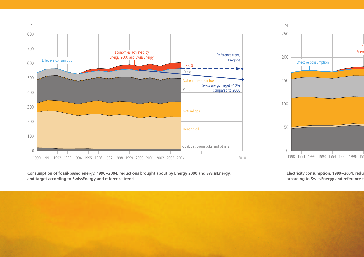



**Consumption of fossil-based energy, 1990–2004, reductions brought about by Energy 2000 and SwissEnergy, and target according to SwissEnergy and reference trend**

**Electricity consumption, 1990–2004, redu** according to SwissEnergy and reference t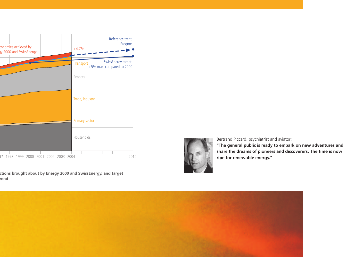

**Electricity consumption, 1990–2004, reductions brought about by Energy 2000 and SwissEnergy, and target**  rend



Bertrand Piccard, psychiatrist and aviator:

**"The general public is ready to embark on new adventures and share the dreams of pioneers and discoverers. The time is now ripe for renewable energy."**

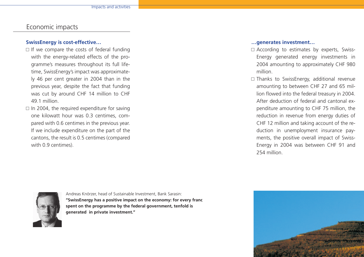# Economic impacts

#### **SwissEnergy is cost-effective…**

- $\Box$  If we compare the costs of federal funding with the energy-related effects of the programme's measures throughout its full lifetime, SwissEnergy's impact was approximately 46 per cent greater in 2004 than in the previous year, despite the fact that funding was cut by around CHF 14 million to CHF 49.1 million.
- $\Box$  In 2004, the required expenditure for saving one kilowatt hour was 0.3 centimes, compared with 0.6 centimes in the previous year. If we include expenditure on the part of the cantons, the result is 0.5 centimes (compared with 0.9 centimes).

#### **…generates investment…**

- $\square$  According to estimates by experts, Swiss-Energy generated energy investments in 2004 amounting to approximately CHF 980 million.
- $\square$  Thanks to SwissEnergy, additional revenue amounting to between CHF 27 and 65 million flowed into the federal treasury in 2004. After deduction of federal and cantonal expenditure amounting to CHF 75 million, the reduction in revenue from energy duties of CHF 12 million and taking account of the reduction in unemployment insurance payments, the positive overall impact of Swiss-Energy in 2004 was between CHF 91 and 254 million.



Andreas Knörzer, head of Sustainable Investment, Bank Sarasin: **"SwissEnergy has a positive impact on the economy: for every franc spent on the programme by the federal government, tenfold is generated in private investment."**

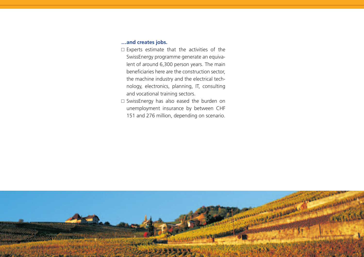#### **…and creates jobs.**

- $\square$  Experts estimate that the activities of the SwissEnergy programme generate an equivalent of around 6,300 person years. The main beneficiaries here are the construction sector, the machine industry and the electrical technology, electronics, planning, IT, consulting and vocational training sectors.
- $\square$  SwissEnergy has also eased the burden on unemployment insurance by between CHF 151 and 276 million, depending on scenario.

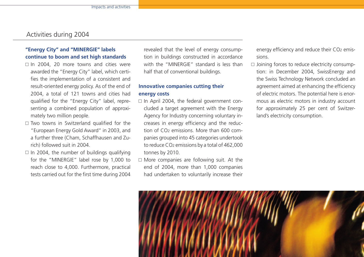## Activities during 2004

#### **"Energy City" and "MINERGIE" labels continue to boom and set high standards**

- $\Box$  In 2004, 20 more towns and cities were awarded the "Energy City" label, which certifies the implementation of a consistent and result-oriented energy policy. As of the end of 2004, a total of 121 towns and cities had qualified for the "Energy City" label, representing a combined population of approximately two million people.
- $\square$  Two towns in Switzerland qualified for the "European Energy Gold Award" in 2003, and a further three (Cham, Schaffhausen and Zurich) followed suit in 2004.
- $\Box$  In 2004, the number of buildings qualifying for the "MINERGIE" label rose by 1,000 to reach close to 4,000. Furthermore, practical tests carried out for the first time during 2004

revealed that the level of energy consumption in buildings constructed in accordance with the "MINERGIE" standard is less than half that of conventional buildings.

#### **Innovative companies cutting their energy costs**

- □ In April 2004, the federal government concluded a target agreement with the Energy Agency for Industry concerning voluntary increases in energy efficiency and the reduction of  $CO<sub>2</sub>$  emissions. More than 600 companies grouped into 45 categories undertook to reduce CO2 emissions by a total of 462,000 tonnes by 2010.
- $\square$  More companies are following suit. At the end of 2004, more than 1,000 companies had undertaken to voluntarily increase their

energy efficiency and reduce their CO2 emissions.

 $\Box$  Joining forces to reduce electricity consumption: in December 2004, SwissEnergy and the Swiss Technology Network concluded an agreement aimed at enhancing the efficiency of electric motors. The potential here is enormous as electric motors in industry account for approximately 25 per cent of Switzerland's electricity consumption.

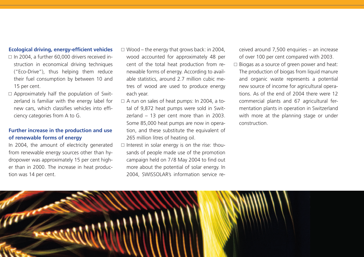#### **Ecological driving, energy-efficient vehicles**

- $\Box$  In 2004, a further 60,000 drivers received instruction in economical driving techniques ("Eco-Drive"), thus helping them reduce their fuel consumption by between 10 and 15 per cent.
- $\square$  Approximately half the population of Switzerland is familiar with the energy label for new cars, which classifies vehicles into efficiency categories from A to G.

#### **Further increase in the production and use of renewable forms of energy**

In 2004, the amount of electricity generated from renewable energy sources other than hydropower was approximately 15 per cent higher than in 2000. The increase in heat production was 14 per cent.

- $\Box$  Wood the energy that grows back: in 2004, wood accounted for approximately 48 per cent of the total heat production from renewable forms of energy. According to available statistics, around 2.7 million cubic metres of wood are used to produce energy each year.
- $\Box$  A run on sales of heat pumps: In 2004, a total of 9,872 heat pumps were sold in Switzerland – 13 per cent more than in 2003. Some 85,000 heat pumps are now in operation, and these substitute the equivalent of 265 million litres of heating oil.
- $\square$  Interest in solar energy is on the rise: thousands of people made use of the promotion campaign held on 7/8 May 2004 to find out more about the potential of solar energy. In 2004, SWISSOLAR's information service re-

ceived around 7,500 enquiries – an increase of over 100 per cent compared with 2003.

Aktivitäten 2005/06

 $\square$  Biogas as a source of green power and heat: The production of biogas from liquid manure and organic waste represents a potential new source of income for agricultural operations. As of the end of 2004 there were 12 commercial plants and 67 agricultural fermentation plants in operation in Switzerland with more at the planning stage or under construction.